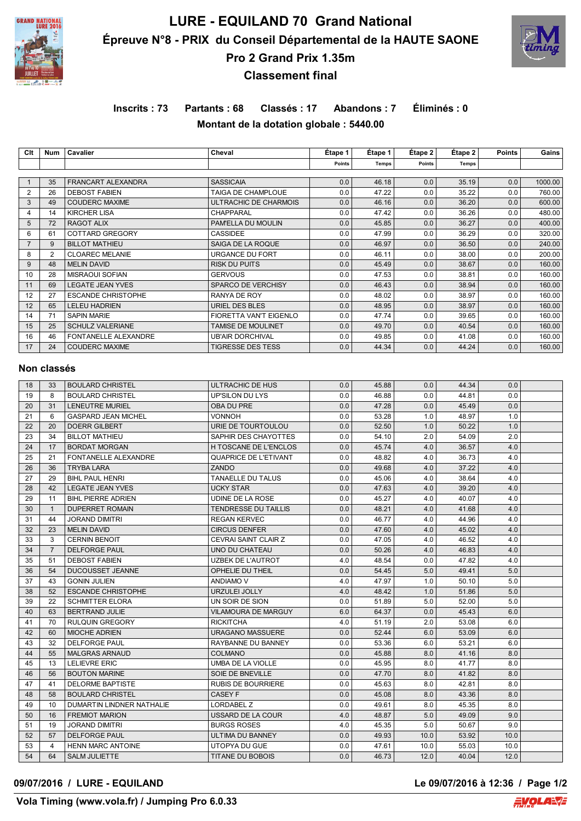

# **LURE - EQUILAND 70 Grand National Épreuve N°8 - PRIX du Conseil Départemental de la HAUTE SAONE Pro 2 Grand Prix 1.35m**



# **Classement final**

# **Inscrits : 73 Partants : 68 Classés : 17 Abandons : 7 Éliminés : 0**

**Montant de la dotation globale : 5440.00**

| Clt            | <b>Num</b>     | <b>Cavalier</b>             | Cheval                        | Etape 1       | Étape 1 | Étape 2 | Étape 2 | <b>Points</b> | Gains   |
|----------------|----------------|-----------------------------|-------------------------------|---------------|---------|---------|---------|---------------|---------|
|                |                |                             |                               | <b>Points</b> | Temps   | Points  | Temps   |               |         |
|                |                |                             |                               |               |         |         |         |               |         |
|                | 35             | FRANCART ALEXANDRA          | <b>SASSICAIA</b>              | 0.0           | 46.18   | 0.0     | 35.19   | 0.0           | 1000.00 |
| 2              | 26             | <b>DEBOST FABIEN</b>        | TAIGA DE CHAMPLOUE            | 0.0           | 47.22   | 0.0     | 35.22   | 0.0           | 760.00  |
| 3              | 49             | <b>COUDERC MAXIME</b>       | ULTRACHIC DE CHARMOIS         | 0.0           | 46.16   | 0.0     | 36.20   | 0.0           | 600.00  |
| 4              | 14             | <b>KIRCHER LISA</b>         | <b>CHAPPARAL</b>              | 0.0           | 47.42   | 0.0     | 36.26   | 0.0           | 480.00  |
| 5              | 72             | <b>RAGOT ALIX</b>           | PAM'ELLA DU MOULIN            | 0.0           | 45.85   | 0.0     | 36.27   | 0.0           | 400.00  |
| 6              | 61             | COTTARD GREGORY             | <b>CASSIDEE</b>               | 0.0           | 47.99   | 0.0     | 36.29   | 0.0           | 320.00  |
| $\overline{7}$ | 9              | <b>BILLOT MATHIEU</b>       | SAIGA DE LA ROQUE             | 0.0           | 46.97   | 0.0     | 36.50   | 0.0           | 240.00  |
| 8              | $\overline{2}$ | <b>CLOAREC MELANIE</b>      | <b>URGANCE DU FORT</b>        | 0.0           | 46.11   | 0.0     | 38.00   | 0.0           | 200.00  |
| 9              | 48             | <b>MELIN DAVID</b>          | <b>RISK DU PUITS</b>          | 0.0           | 45.49   | 0.0     | 38.67   | 0.0           | 160.00  |
| 10             | 28             | <b>MISRAOUI SOFIAN</b>      | <b>GERVOUS</b>                | 0.0           | 47.53   | 0.0     | 38.81   | 0.0           | 160.00  |
| 11             | 69             | <b>LEGATE JEAN YVES</b>     | <b>SPARCO DE VERCHISY</b>     | 0.0           | 46.43   | 0.0     | 38.94   | 0.0           | 160.00  |
| 12             | 27             | <b>ESCANDE CHRISTOPHE</b>   | RANYA DE ROY                  | 0.0           | 48.02   | 0.0     | 38.97   | 0.0           | 160.00  |
| 12             | 65             | <b>LELEU HADRIEN</b>        | URIEL DES BLES                | 0.0           | 48.95   | 0.0     | 38.97   | 0.0           | 160.00  |
| 14             | 71             | <b>SAPIN MARIE</b>          | <b>FIORETTA VAN'T EIGENLO</b> | 0.0           | 47.74   | 0.0     | 39.65   | 0.0           | 160.00  |
| 15             | 25             | <b>SCHULZ VALERIANE</b>     | <b>TAMISE DE MOULINET</b>     | 0.0           | 49.70   | 0.0     | 40.54   | 0.0           | 160.00  |
| 16             | 46             | <b>FONTANELLE ALEXANDRE</b> | <b>UB'AIR DORCHIVAL</b>       | 0.0           | 49.85   | 0.0     | 41.08   | 0.0           | 160.00  |
| 17             | 24             | <b>COUDERC MAXIME</b>       | <b>TIGRESSE DES TESS</b>      | 0.0           | 44.34   | 0.0     | 44.24   | 0.0           | 160.00  |
|                |                |                             |                               |               |         |         |         |               |         |

### **Non classés**

| 18 | 33             | <b>BOULARD CHRISTEL</b>     | ULTRACHIC DE HUS            | 0.0 | 45.88 | 0.0  | 44.34 | 0.0  |  |
|----|----------------|-----------------------------|-----------------------------|-----|-------|------|-------|------|--|
| 19 | 8              | <b>BOULARD CHRISTEL</b>     | UP'SILON DU LYS             | 0.0 | 46.88 | 0.0  | 44.81 | 0.0  |  |
| 20 | 31             | <b>LENEUTRE MURIEL</b>      | OBA DU PRE                  | 0.0 | 47.28 | 0.0  | 45.49 | 0.0  |  |
| 21 | 6              | <b>GASPARD JEAN MICHEL</b>  | <b>VONNOH</b>               | 0.0 | 53.28 | 1.0  | 48.97 | 1.0  |  |
| 22 | 20             | <b>DOERR GILBERT</b>        | URIE DE TOURTOULOU          | 0.0 | 52.50 | 1.0  | 50.22 | 1.0  |  |
| 23 | 34             | <b>BILLOT MATHIEU</b>       | SAPHIR DES CHAYOTTES        | 0.0 | 54.10 | 2.0  | 54.09 | 2.0  |  |
| 24 | 17             | <b>BORDAT MORGAN</b>        | H TOSCANE DE L'ENCLOS       | 0.0 | 45.74 | 4.0  | 36.57 | 4.0  |  |
| 25 | 21             | <b>FONTANELLE ALEXANDRE</b> | QUAPRICE DE L'ETIVANT       | 0.0 | 48.82 | 4.0  | 36.73 | 4.0  |  |
| 26 | 36             | <b>TRYBA LARA</b>           | <b>ZANDO</b>                | 0.0 | 49.68 | 4.0  | 37.22 | 4.0  |  |
| 27 | 29             | <b>BIHL PAUL HENRI</b>      | <b>TANAELLE DU TALUS</b>    | 0.0 | 45.06 | 4.0  | 38.64 | 4.0  |  |
| 28 | 42             | <b>LEGATE JEAN YVES</b>     | <b>UCKY STAR</b>            | 0.0 | 47.63 | 4.0  | 39.20 | 4.0  |  |
| 29 | 11             | <b>BIHL PIERRE ADRIEN</b>   | UDINE DE LA ROSE            | 0.0 | 45.27 | 4.0  | 40.07 | 4.0  |  |
| 30 | $\mathbf{1}$   | <b>DUPERRET ROMAIN</b>      | <b>TENDRESSE DU TAILLIS</b> | 0.0 | 48.21 | 4.0  | 41.68 | 4.0  |  |
| 31 | 44             | <b>JORAND DIMITRI</b>       | <b>REGAN KERVEC</b>         | 0.0 | 46.77 | 4.0  | 44.96 | 4.0  |  |
| 32 | 23             | <b>MELIN DAVID</b>          | <b>CIRCUS DENFER</b>        | 0.0 | 47.60 | 4.0  | 45.02 | 4.0  |  |
| 33 | 3              | <b>CERNIN BENOIT</b>        | CEVRAI SAINT CLAIR Z        | 0.0 | 47.05 | 4.0  | 46.52 | 4.0  |  |
| 34 | $\overline{7}$ | <b>DELFORGE PAUL</b>        | UNO DU CHATEAU              | 0.0 | 50.26 | 4.0  | 46.83 | 4.0  |  |
| 35 | 51             | <b>DEBOST FABIEN</b>        | UZBEK DE L'AUTROT           | 4.0 | 48.54 | 0.0  | 47.82 | 4.0  |  |
| 36 | 54             | DUCOUSSET JEANNE            | OPHELIE DU THEIL            | 0.0 | 54.45 | 5.0  | 49.41 | 5.0  |  |
| 37 | 43             | <b>GONIN JULIEN</b>         | ANDIAMO V                   | 4.0 | 47.97 | 1.0  | 50.10 | 5.0  |  |
| 38 | 52             | <b>ESCANDE CHRISTOPHE</b>   | URZULEI JOLLY               | 4.0 | 48.42 | 1.0  | 51.86 | 5.0  |  |
| 39 | 22             | <b>SCHMITTER ELORA</b>      | UN SOIR DE SION             | 0.0 | 51.89 | 5.0  | 52.00 | 5.0  |  |
| 40 | 63             | BERTRAND JULIE              | <b>VILAMOURA DE MARGUY</b>  | 6.0 | 64.37 | 0.0  | 45.43 | 6.0  |  |
| 41 | 70             | <b>RULQUIN GREGORY</b>      | <b>RICKITCHA</b>            | 4.0 | 51.19 | 2.0  | 53.08 | 6.0  |  |
| 42 | 60             | <b>MIOCHE ADRIEN</b>        | <b>URAGANO MASSUERE</b>     | 0.0 | 52.44 | 6.0  | 53.09 | 6.0  |  |
| 43 | 32             | <b>DELFORGE PAUL</b>        | RAYBANNE DU BANNEY          | 0.0 | 53.36 | 6.0  | 53.21 | 6.0  |  |
| 44 | 55             | <b>MALGRAS ARNAUD</b>       | <b>COLMANO</b>              | 0.0 | 45.88 | 8.0  | 41.16 | 8.0  |  |
| 45 | 13             | <b>LELIEVRE ERIC</b>        | UMBA DE LA VIOLLE           | 0.0 | 45.95 | 8.0  | 41.77 | 8.0  |  |
| 46 | 56             | <b>BOUTON MARINE</b>        | SOIE DE BNEVILLE            | 0.0 | 47.70 | 8.0  | 41.82 | 8.0  |  |
| 47 | 41             | <b>DELORME BAPTISTE</b>     | <b>RUBIS DE BOURRIERE</b>   | 0.0 | 45.63 | 8.0  | 42.81 | 8.0  |  |
| 48 | 58             | <b>BOULARD CHRISTEL</b>     | CASEY F                     | 0.0 | 45.08 | 8.0  | 43.36 | 8.0  |  |
| 49 | 10             | DUMARTIN LINDNER NATHALIE   | <b>LORDABEL Z</b>           | 0.0 | 49.61 | 8.0  | 45.35 | 8.0  |  |
| 50 | 16             | <b>FREMIOT MARION</b>       | USSARD DE LA COUR           | 4.0 | 48.87 | 5.0  | 49.09 | 9.0  |  |
| 51 | 19             | <b>JORAND DIMITRI</b>       | <b>BURGS ROSES</b>          | 4.0 | 45.35 | 5.0  | 50.67 | 9.0  |  |
| 52 | 57             | <b>DELFORGE PAUL</b>        | ULTIMA DU BANNEY            | 0.0 | 49.93 | 10.0 | 53.92 | 10.0 |  |
| 53 | $\overline{4}$ | <b>HENN MARC ANTOINE</b>    | UTOPYA DU GUE               | 0.0 | 47.61 | 10.0 | 55.03 | 10.0 |  |
| 54 | 64             | SALM JULIETTE               | <b>TITANE DU BOBOIS</b>     | 0.0 | 46.73 | 12.0 | 40.04 | 12.0 |  |

### **09/07/2016 / LURE - EQUILAND Le 09/07/2016 à 12:36 / Page 1/2**